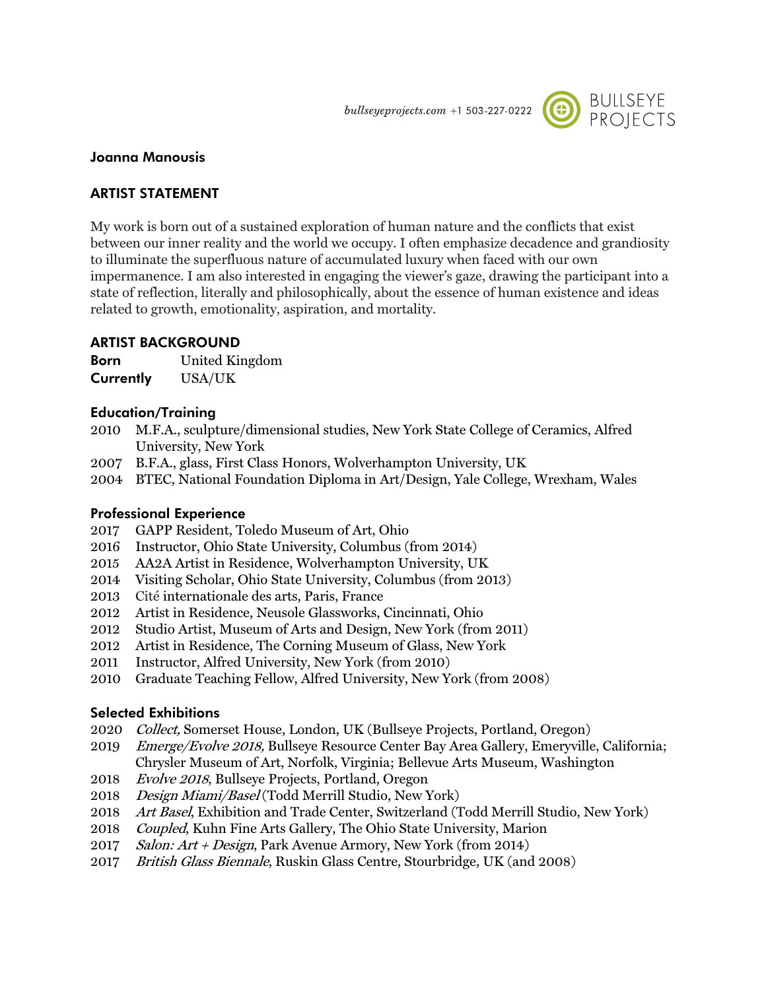bullseyeprojects.com +1 503-227-0222



## **Joanna Manousis**

# **ARTIST STATEMENT**

My work is born out of a sustained exploration of human nature and the conflicts that exist between our inner reality and the world we occupy. I often emphasize decadence and grandiosity to illuminate the superfluous nature of accumulated luxury when faced with our own impermanence. I am also interested in engaging the viewer's gaze, drawing the participant into a state of reflection, literally and philosophically, about the essence of human existence and ideas related to growth, emotionality, aspiration, and mortality.

## **ARTIST BACKGROUND**

**Born** United Kingdom **Currently** USA/UK

## **Education/Training**

- 2010 M.F.A., sculpture/dimensional studies, New York State College of Ceramics, Alfred University, New York
- 2007 B.F.A., glass, First Class Honors, Wolverhampton University, UK
- 2004 BTEC, National Foundation Diploma in Art/Design, Yale College, Wrexham, Wales

## **Professional Experience**

- 2017 GAPP Resident, Toledo Museum of Art, Ohio
- 2016 Instructor, Ohio State University, Columbus (from 2014)
- 2015 AA2A Artist in Residence, Wolverhampton University, UK
- 2014 Visiting Scholar, Ohio State University, Columbus (from 2013)
- 2013 Cité internationale des arts, Paris, France
- 2012 Artist in Residence, Neusole Glassworks, Cincinnati, Ohio
- 2012 Studio Artist, Museum of Arts and Design, New York (from 2011)
- 2012 Artist in Residence, The Corning Museum of Glass, New York
- 2011 Instructor, Alfred University, New York (from 2010)
- 2010 Graduate Teaching Fellow, Alfred University, New York (from 2008)

#### **Selected Exhibitions**

- 2020 Collect, Somerset House, London, UK (Bullseye Projects, Portland, Oregon)
- 2019 Emerge/Evolve 2018, Bullseye Resource Center Bay Area Gallery, Emeryville, California; Chrysler Museum of Art, Norfolk, Virginia; Bellevue Arts Museum, Washington
- 2018 Evolve 2018, Bullseye Projects, Portland, Oregon
- 2018 Design Miami/Basel (Todd Merrill Studio, New York)
- 2018 Art Basel, Exhibition and Trade Center, Switzerland (Todd Merrill Studio, New York)
- 2018 Coupled, Kuhn Fine Arts Gallery, The Ohio State University, Marion
- 2017 Salon: Art + Design, Park Avenue Armory, New York (from 2014)
- 2017 British Glass Biennale, Ruskin Glass Centre, Stourbridge, UK (and 2008)